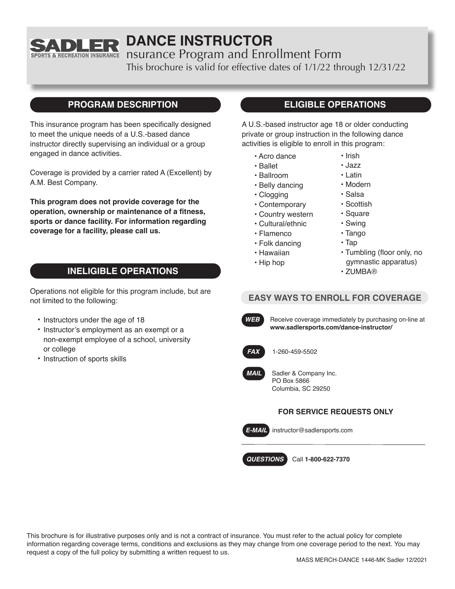

# **DANCE INSTRUCTOR**

nsurance Program and Enrollment Form

This brochure is valid for effective dates of 1/1/22 through 12/31/22

## **PROGRAM DESCRIPTION**

This insurance program has been specifically designed to meet the unique needs of a U.S.-based dance instructor directly supervising an individual or a group engaged in dance activities.

Coverage is provided by a carrier rated A (Excellent) by A.M. Best Company.

**This program does not provide coverage for the operation, ownership or maintenance of a fitness, sports or dance facility. For information regarding coverage for a facility, please call us.**

## **INELIGIBLE OPERATIONS**

Operations not eligible for this program include, but are not limited to the following:

- Instructors under the age of 18
- Instructor's employment as an exempt or a non-exempt employee of a school, university or college
- Instruction of sports skills

## **ELIGIBLE OPERATIONS**

A U.S.-based instructor age 18 or older conducting private or group instruction in the following dance activities is eligible to enroll in this program:

- Acro dance
- Ballet
- Ballroom
- Belly dancing
- Clogging
- Contemporary
- Country western
- Cultural/ethnic
- Flamenco
- Folk dancing
- Hawaiian
- Hip hop
- Modern
- Salsa
- Scottish
- Square
- Swing
- Tango
- Tap
- Tumbling (floor only, no gymnastic apparatus)
- ZUMBA®

## **EASY WAYS TO ENROLL FOR COVERAGE**



**WEB** Receive coverage immediately by purchasing on-line at **www.sadlersports.com/dance-instructor/**



*FAX* 1-260-459-5502



Sadler & Company Inc. PO Box 5866 Columbia, SC 29250

#### **FOR SERVICE REQUESTS ONLY**



*E-MAIL* instructor@sadlersports.com

*QUESTIONS* Call **1-800-622-7370**

This brochure is for illustrative purposes only and is not a contract of insurance. You must refer to the actual policy for complete information regarding coverage terms, conditions and exclusions as they may change from one coverage period to the next. You may request a copy of the full policy by submitting a written request to us.

• Irish • Jazz • Latin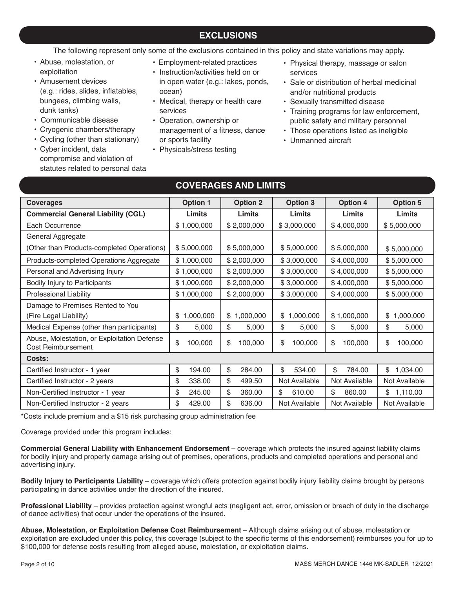## **EXCLUSIONS**

The following represent only some of the exclusions contained in this policy and state variations may apply.

- Abuse, molestation, or exploitation
- Amusement devices (e.g.: rides, slides, inflatables, bungees, climbing walls, dunk tanks)
- Communicable disease
- Cryogenic chambers/therapy
- Cycling (other than stationary)
- Cyber incident, data compromise and violation of statutes related to personal data
- Employment-related practices
- Instruction/activities held on or in open water (e.g.: lakes, ponds, ocean)
- Medical, therapy or health care services
- Operation, ownership or management of a fitness, dance or sports facility
- Physicals/stress testing
- Physical therapy, massage or salon services
- Sale or distribution of herbal medicinal and/or nutritional products
- Sexually transmitted disease
- Training programs for law enforcement, public safety and military personnel
- Those operations listed as ineligible
- Unmanned aircraft

| <b>Coverages</b>                                                  | <b>Option 1</b> | <b>Option 2</b> | <b>Option 3</b> | <b>Option 4</b> | <b>Option 5</b> |
|-------------------------------------------------------------------|-----------------|-----------------|-----------------|-----------------|-----------------|
| <b>Commercial General Liability (CGL)</b>                         | Limits          | Limits          | Limits          | Limits          | Limits          |
| Each Occurrence                                                   | \$1,000,000     | \$2,000,000     | \$3,000,000     | \$4,000,000     | \$5,000,000     |
| General Aggregate                                                 |                 |                 |                 |                 |                 |
| (Other than Products-completed Operations)                        | \$5,000,000     | \$5,000,000     | \$5,000,000     | \$5,000,000     | \$5,000,000     |
| Products-completed Operations Aggregate                           | \$1,000,000     | \$2,000,000     | \$3,000,000     | \$4,000,000     | \$5,000,000     |
| Personal and Advertising Injury                                   | \$1,000,000     | \$2,000,000     | \$3,000,000     | \$4,000,000     | \$5,000,000     |
| Bodily Injury to Participants                                     | \$1,000,000     | \$2,000,000     | \$3,000,000     | \$4,000,000     | \$5,000,000     |
| <b>Professional Liability</b>                                     | \$1,000,000     | \$2,000,000     | \$3,000,000     | \$4,000,000     | \$5,000,000     |
| Damage to Premises Rented to You                                  |                 |                 |                 |                 |                 |
| (Fire Legal Liability)                                            | 1,000,000<br>\$ | \$<br>1,000,000 | \$<br>1,000,000 | \$1,000,000     | \$<br>1,000,000 |
| Medical Expense (other than participants)                         | \$<br>5,000     | \$<br>5,000     | \$<br>5,000     | \$<br>5,000     | \$<br>5,000     |
| Abuse, Molestation, or Exploitation Defense<br>Cost Reimbursement | \$<br>100,000   | \$<br>100,000   | \$<br>100,000   | \$<br>100,000   | \$<br>100,000   |
| Costs:                                                            |                 |                 |                 |                 |                 |
| Certified Instructor - 1 year                                     | \$<br>194.00    | \$<br>284.00    | \$<br>534.00    | 784.00<br>\$    | \$<br>1,034.00  |
| Certified Instructor - 2 years                                    | \$<br>338.00    | \$<br>499.50    | Not Available   | Not Available   | Not Available   |
| Non-Certified Instructor - 1 year                                 | \$<br>245.00    | \$<br>360.00    | \$<br>610.00    | \$<br>860.00    | \$1,110.00      |
| Non-Certified Instructor - 2 years                                | \$<br>429.00    | \$<br>636.00    | Not Available   | Not Available   | Not Available   |

**COVERAGES AND LIMITS** 

\*Costs include premium and a \$15 risk purchasing group administration fee

Coverage provided under this program includes:

**Commercial General Liability with Enhancement Endorsement** – coverage which protects the insured against liability claims for bodily injury and property damage arising out of premises, operations, products and completed operations and personal and advertising injury.

**Bodily Injury to Participants Liability** – coverage which offers protection against bodily injury liability claims brought by persons participating in dance activities under the direction of the insured.

**Professional Liability** – provides protection against wrongful acts (negligent act, error, omission or breach of duty in the discharge of dance activities) that occur under the operations of the insured.

**Abuse, Molestation, or Exploitation Defense Cost Reimbursement** – Although claims arising out of abuse, molestation or exploitation are excluded under this policy, this coverage (subject to the specific terms of this endorsement) reimburses you for up to \$100,000 for defense costs resulting from alleged abuse, molestation, or exploitation claims.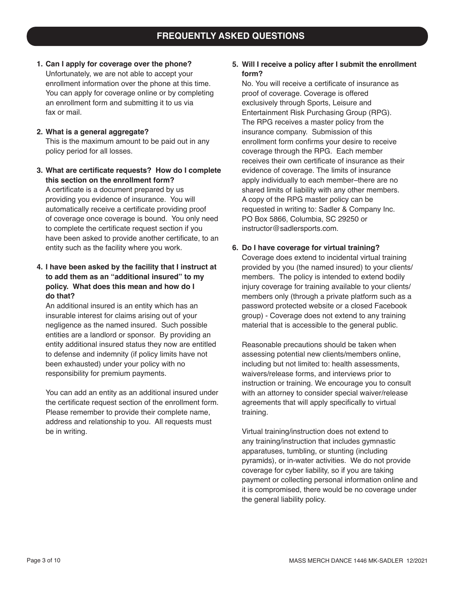**1. Can I apply for coverage over the phone?** Unfortunately, we are not able to accept your enrollment information over the phone at this time. You can apply for coverage online or by completing an enrollment form and submitting it to us via fax or mail.

#### **2. What is a general aggregate?**

This is the maximum amount to be paid out in any policy period for all losses.

**3. What are certificate requests? How do I complete this section on the enrollment form?** A certificate is a document prepared by us providing you evidence of insurance. You will automatically receive a certificate providing proof of coverage once coverage is bound. You only need to complete the certificate request section if you have been asked to provide another certificate, to an entity such as the facility where you work.

#### **4. I have been asked by the facility that I instruct at to add them as an "additional insured" to my policy. What does this mean and how do I do that?**

An additional insured is an entity which has an insurable interest for claims arising out of your negligence as the named insured. Such possible entities are a landlord or sponsor. By providing an entity additional insured status they now are entitled to defense and indemnity (if policy limits have not been exhausted) under your policy with no responsibility for premium payments.

You can add an entity as an additional insured under the certificate request section of the enrollment form. Please remember to provide their complete name, address and relationship to you. All requests must be in writing.

#### **5. Will I receive a policy after I submit the enrollment form?**

No. You will receive a certificate of insurance as proof of coverage. Coverage is offered exclusively through Sports, Leisure and Entertainment Risk Purchasing Group (RPG). The RPG receives a master policy from the insurance company. Submission of this enrollment form confirms your desire to receive coverage through the RPG. Each member receives their own certificate of insurance as their evidence of coverage. The limits of insurance apply individually to each member–there are no shared limits of liability with any other members. A copy of the RPG master policy can be requested in writing to: Sadler & Company Inc. PO Box 5866, Columbia, SC 29250 or instructor@sadlersports.com.

#### **6. Do I have coverage for virtual training?**

Coverage does extend to incidental virtual training provided by you (the named insured) to your clients/ members. The policy is intended to extend bodily injury coverage for training available to your clients/ members only (through a private platform such as a password protected website or a closed Facebook group) - Coverage does not extend to any training material that is accessible to the general public.

Reasonable precautions should be taken when assessing potential new clients/members online, including but not limited to: health assessments, waivers/release forms, and interviews prior to instruction or training. We encourage you to consult with an attorney to consider special waiver/release agreements that will apply specifically to virtual training.

Virtual training/instruction does not extend to any training/instruction that includes gymnastic apparatuses, tumbling, or stunting (including pyramids), or in-water activities. We do not provide coverage for cyber liability, so if you are taking payment or collecting personal information online and it is compromised, there would be no coverage under the general liability policy.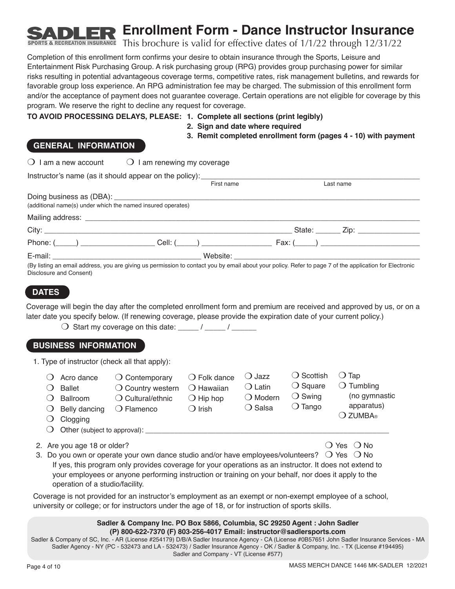**Enrollment Form - Dance Instructor Insurance**

This brochure is valid for effective dates of 1/1/22 through 12/31/22

Completion of this enrollment form confirms your desire to obtain insurance through the Sports, Leisure and Entertainment Risk Purchasing Group. A risk purchasing group (RPG) provides group purchasing power for similar risks resulting in potential advantageous coverage terms, competitive rates, risk management bulletins, and rewards for favorable group loss experience. An RPG administration fee may be charged. The submission of this enrollment form and/or the acceptance of payment does not guarantee coverage. Certain operations are not eligible for coverage by this program. We reserve the right to decline any request for coverage.

#### **TO AVOID PROCESSING DELAYS, PLEASE: 1. Complete all sections (print legibly)**

- **2. Sign and date where required**
- **3. Remit completed enrollment form (pages 4 10) with payment**

**& RECREATION INSURANCE** 

 $\bigcirc$  I am a new account  $\bigcirc$  I am renewing my coverage

|                                                             | Instructor's name (as it should appear on the policy): __________________________ |                                                                                                                                                         |
|-------------------------------------------------------------|-----------------------------------------------------------------------------------|---------------------------------------------------------------------------------------------------------------------------------------------------------|
|                                                             | First name                                                                        | Last name                                                                                                                                               |
| (additional name(s) under which the named insured operates) |                                                                                   |                                                                                                                                                         |
|                                                             |                                                                                   |                                                                                                                                                         |
|                                                             |                                                                                   |                                                                                                                                                         |
|                                                             |                                                                                   | Phone: $(\_\_\_\_)$ Cell: $(\_\_\_)$ Cell: $(\_\_)$ Fax: $(\_\_)$                                                                                       |
|                                                             |                                                                                   |                                                                                                                                                         |
| Disclosure and Consent)                                     |                                                                                   | (By listing an email address, you are giving us permission to contact you by email about your policy. Refer to page 7 of the application for Electronic |

### **DATES**

Coverage will begin the day after the completed enrollment form and premium are received and approved by us, or on a later date you specify below. (If renewing coverage, please provide the expiration date of your current policy.)

 $\bigcirc$  Start my coverage on this date: \_\_\_\_\_ / \_\_\_\_\_ / \_\_\_\_\_

#### **BUSINESS INFORMATION**

|    |                                                                                                                  | 1. Type of instructor (check all that apply):                                                                                                                                                                                                                                                                                 |                                                                                        |                                                             |                                                                           |                                                                                                    |
|----|------------------------------------------------------------------------------------------------------------------|-------------------------------------------------------------------------------------------------------------------------------------------------------------------------------------------------------------------------------------------------------------------------------------------------------------------------------|----------------------------------------------------------------------------------------|-------------------------------------------------------------|---------------------------------------------------------------------------|----------------------------------------------------------------------------------------------------|
|    | Acro dance<br><b>Ballet</b><br><b>Ballroom</b><br>Belly dancing<br>Clogging<br>Other (subject to approval): ____ | $\bigcirc$ Contemporary<br>$\bigcirc$ Country western<br>◯ Cultural/ethnic<br>$\bigcirc$ Flamenco                                                                                                                                                                                                                             | $\bigcirc$ Folk dance<br>$\bigcirc$ Hawaiian<br>$\bigcirc$ Hip hop<br>$\bigcirc$ Irish | () Jazz<br>( Latin<br>$\bigcirc$ Modern<br>$\bigcirc$ Salsa | ( ) Scottish<br>$\bigcirc$ Square<br>$\bigcirc$ Swing<br>$\bigcirc$ Tango | Tap<br>$\left( \right)$<br>$\bigcirc$ Tumbling<br>(no gymnastic<br>apparatus)<br>$\bigcirc$ ZUMBA® |
| 3. | 2. Are you age 18 or older?<br>operation of a studio/facility.                                                   | Do you own or operate your own dance studio and/or have employees/volunteers? $\bigcirc$ Yes $\bigcirc$ No<br>If yes, this program only provides coverage for your operations as an instructor. It does not extend to<br>your employees or anyone performing instruction or training on your behalf, nor does it apply to the |                                                                                        |                                                             |                                                                           | ◯ Yes ()No                                                                                         |
|    |                                                                                                                  | Coverage is not provided for an instructor's employment as an exempt or non-exempt employee of a school,<br>university or college; or for instructors under the age of 18, or for instruction of sports skills.                                                                                                               |                                                                                        |                                                             |                                                                           |                                                                                                    |

#### **Sadler & Company Inc. PO Box 5866, Columbia, SC 29250 Agent : John Sadler (P) 800-622-7370 (F) 803-256-4017 Email: instructor@sadlersports.com**

Sadler & Company of SC, Inc. - AR (License #254179) D/B/A Sadler Insurance Agency - CA (License #0B57651 John Sadler Insurance Services - MA Sadler Agency - NY (PC - 532473 and LA - 532473) / Sadler Insurance Agency - OK / Sadler & Company, Inc. - TX (License #194495) Sadler and Company - VT (License #577)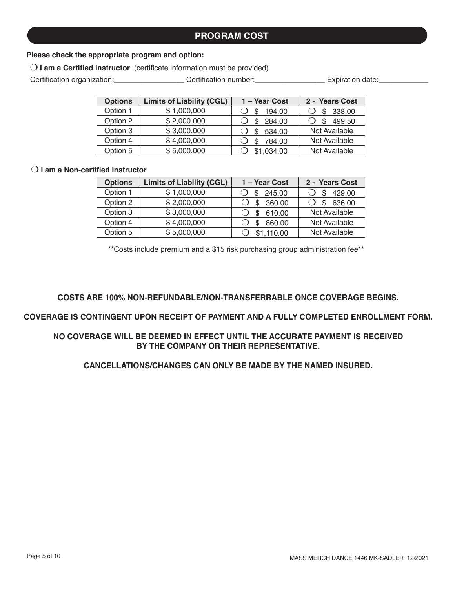## **PROGRAM COST**

#### **Please check the appropriate program and option:**

O I am a Certified instructor (certificate information must be provided)

Certification organization: Certification number: Expiration date:

| <b>Options</b> | <b>Limits of Liability (CGL)</b> | 1 - Year Cost | 2 - Years Cost |
|----------------|----------------------------------|---------------|----------------|
| Option 1       | \$1,000,000                      | 194.00<br>S   | 338.00         |
| Option 2       | \$2,000,000                      | 284.00<br>S   | 499.50         |
| Option 3       | \$3,000,000                      | 534.00<br>S   | Not Available  |
| Option 4       | \$4,000,000                      | 784.00<br>S   | Not Available  |
| Option 5       | \$5,000,000                      | \$1,034.00    | Not Available  |

#### O I am a Non-certified Instructor

| <b>Options</b> | <b>Limits of Liability (CGL)</b> | 1 - Year Cost | 2 - Years Cost |
|----------------|----------------------------------|---------------|----------------|
| Option 1       | \$1,000,000                      | 245.00        | 429.00         |
| Option 2       | \$2,000,000                      | 360.00        | 636.00<br>\$   |
| Option 3       | \$3,000,000                      | 610.00        | Not Available  |
| Option 4       | \$4,000,000                      | 860.00        | Not Available  |
| Option 5       | \$5,000,000                      | \$1,110.00    | Not Available  |

\*\*Costs include premium and a \$15 risk purchasing group administration fee\*\*

#### **COSTS ARE 100% NON-REFUNDABLE/NON-TRANSFERRABLE ONCE COVERAGE BEGINS.**

#### **COVERAGE IS CONTINGENT UPON RECEIPT OF PAYMENT AND A FULLY COMPLETED ENROLLMENT FORM.**

#### **NO COVERAGE WILL BE DEEMED IN EFFECT UNTIL THE ACCURATE PAYMENT IS RECEIVED BY THE COMPANY OR THEIR REPRESENTATIVE.**

### **CANCELLATIONS/CHANGES CAN ONLY BE MADE BY THE NAMED INSURED.**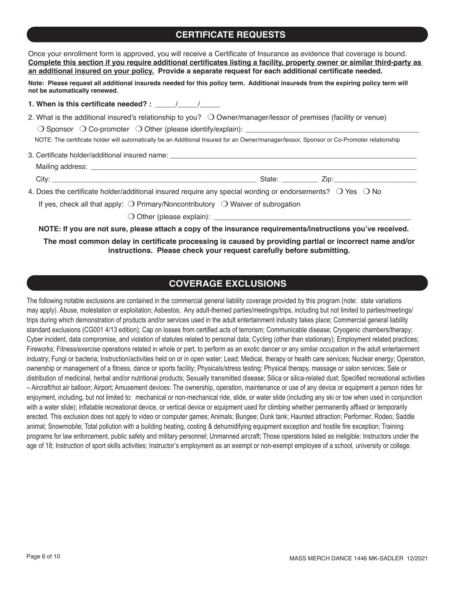## **CERTIFICATE REQUESTS**

| Once your enrollment form is approved, you will receive a Certificate of Insurance as evidence that coverage is bound.<br>Complete this section if you require additional certificates listing a facility, property owner or similar third-party as<br>an additional insured on your policy. Provide a separate request for each additional certificate needed. |  |
|-----------------------------------------------------------------------------------------------------------------------------------------------------------------------------------------------------------------------------------------------------------------------------------------------------------------------------------------------------------------|--|
| Note: Please request all additional insureds needed for this policy term. Additional insureds from the expiring policy term will<br>not be automatically renewed.                                                                                                                                                                                               |  |
|                                                                                                                                                                                                                                                                                                                                                                 |  |
| 2. What is the additional insured's relationship to you? $\bigcirc$ Owner/manager/lessor of premises (facility or venue)<br>NOTE: The certificate holder will automatically be an Additional Insured for an Owner/manager/lessor, Sponsor or Co-Promoter relationship                                                                                           |  |
|                                                                                                                                                                                                                                                                                                                                                                 |  |
| 4. Does the certificate holder/additional insured require any special wording or endorsements? $\bigcirc$ Yes $\bigcirc$ No<br>If yes, check all that apply: $\bigcirc$ Primary/Noncontributory $\bigcirc$ Waiver of subrogation                                                                                                                                |  |
|                                                                                                                                                                                                                                                                                                                                                                 |  |
| NOTE: If you are not sure, please attach a copy of the insurance requirements/instructions you've received.                                                                                                                                                                                                                                                     |  |
| The most common delay in certificate processing is caused by providing partial or incorrect name and/or                                                                                                                                                                                                                                                         |  |

## **COVERAGE EXCLUSIONS**

**instructions. Please check your request carefully before submitting.**

The following notable exclusions are contained in the commercial general liability coverage provided by this program (note: state variations may apply). Abuse, molestation or exploitation; Asbestos; Any adult-themed parties/meetings/trips, including but not limited to parties/meetings/ trips during which demonstration of products and/or services used in the adult entertainment industry takes place; Commercial general liability standard exclusions (CG001 4/13 edition); Cap on losses from certified acts of terrorism; Communicable disease; Cryogenic chambers/therapy; Cyber incident, data compromise, and violation of statutes related to personal data; Cycling (other than stationary); Employment related practices; Fireworks; Fitness/exercise operations related in whole or part, to perform as an exotic dancer or any similar occupation in the adult entertainment industry; Fungi or bacteria; Instruction/activities held on or in open water; Lead; Medical, therapy or health care services; Nuclear energy; Operation, ownership or management of a fitness, dance or sports facility; Physicals/stress testing; Physical therapy, massage or salon services; Sale or distribution of medicinal, herbal and/or nutritional products; Sexually transmitted disease; Silica or silica-related dust; Specified recreational activities – Aircraft/hot air balloon; Airport; Amusement devices: The ownership, operation, maintenance or use of any device or equipment a person rides for enjoyment, including, but not limited to: mechanical or non-mechanical ride, slide, or water slide (including any ski or tow when used in conjunction with a water slide); inflatable recreational device, or vertical device or equipment used for climbing whether permanently affixed or temporarily erected. This exclusion does not apply to video or computer games; Animals; Bungee; Dunk tank; Haunted attraction; Performer; Rodeo; Saddle animal; Snowmobile; Total pollution with a building heating, cooling & dehumidifying equipment exception and hostile fire exception; Training programs for law enforcement, public safety and military personnel; Unmanned aircraft; Those operations listed as ineligible: Instructors under the age of 18; Instruction of sport skills activities; Instructor's employment as an exempt or non-exempt employee of a school, university or college.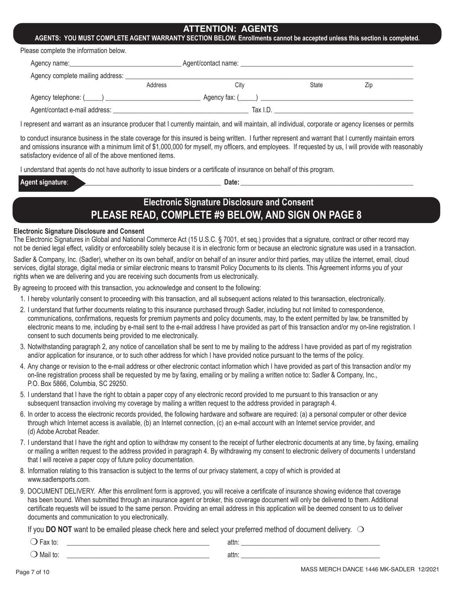### **ATTENTION: AGENTS**

**AGENTS: YOU MUST COMPLETE AGENT WARRANTY SECTION BELOW. Enrollments cannot be accepted unless this section is completed.**

|  | Please complete the information below. |
|--|----------------------------------------|
|--|----------------------------------------|

| Agency complete mailing address: |         |                         |       |     |  |
|----------------------------------|---------|-------------------------|-------|-----|--|
|                                  | Address | Citv                    | State | Zip |  |
|                                  |         | Agency fax: $($ $)$ $)$ |       |     |  |
| Agent/contact e-mail address:    |         | Tax I.D.                |       |     |  |

I represent and warrant as an insurance producer that I currently maintain, and will maintain, all individual, corporate or agency licenses or permits

to conduct insurance business in the state coverage for this insured is being written. I further represent and warrant that I currently maintain errors and omissions insurance with a minimum limit of \$1,000,000 for myself, my officers, and employees. If requested by us, I will provide with reasonably satisfactory evidence of all of the above mentioned items.

I understand that agents do not have authority to issue binders or a certificate of insurance on behalf of this program.

| Agent signature: | Date |
|------------------|------|
|                  |      |

## **Electronic Signature Disclosure and Consent PLEASE READ, COMPLETE #9 BELOW, AND SIGN ON PAGE 8**

#### **Electronic Signature Disclosure and Consent**

The Electronic Signatures in Global and National Commerce Act (15 U.S.C. § 7001, et seq.) provides that a signature, contract or other record may not be denied legal effect, validity or enforceability solely because it is in electronic form or because an electronic signature was used in a transaction.

Sadler & Company, Inc. (Sadler), whether on its own behalf, and/or on behalf of an insurer and/or third parties, may utilize the internet, email, cloud services, digital storage, digital media or similar electronic means to transmit Policy Documents to its clients. This Agreement informs you of your rights when we are delivering and you are receiving such documents from us electronically.

By agreeing to proceed with this transaction, you acknowledge and consent to the following:

- 1. I hereby voluntarily consent to proceeding with this transaction, and all subsequent actions related to this twransaction, electronically.
- 2. I understand that further documents relating to this insurance purchased through Sadler, including but not limited to correspondence, communications, confirmations, requests for premium payments and policy documents, may, to the extent permitted by law, be transmitted by electronic means to me, including by e-mail sent to the e-mail address I have provided as part of this transaction and/or my on-line registration. I consent to such documents being provided to me electronically.
- 3. Notwithstanding paragraph 2, any notice of cancellation shall be sent to me by mailing to the address I have provided as part of my registration and/or application for insurance, or to such other address for which I have provided notice pursuant to the terms of the policy.
- 4. Any change or revision to the e-mail address or other electronic contact information which I have provided as part of this transaction and/or my on-line registration process shall be requested by me by faxing, emailing or by mailing a written notice to: Sadler & Company, Inc., P.O. Box 5866, Columbia, SC 29250.
- 5. I understand that I have the right to obtain a paper copy of any electronic record provided to me pursuant to this transaction or any subsequent transaction involving my coverage by mailing a written request to the address provided in paragraph 4.
- 6. In order to access the electronic records provided, the following hardware and software are required: (a) a personal computer or other device through which Internet access is available, (b) an Internet connection, (c) an e-mail account with an Internet service provider, and (d) Adobe Acrobat Reader.
- 7. I understand that I have the right and option to withdraw my consent to the receipt of further electronic documents at any time, by faxing, emailing or mailing a written request to the address provided in paragraph 4. By withdrawing my consent to electronic delivery of documents I understand that I will receive a paper copy of future policy documentation.
- 8. Information relating to this transaction is subject to the terms of our privacy statement, a copy of which is provided at www.sadlersports.com.
- 9. DOCUMENT DELIVERY. After this enrollment form is approved, you will receive a certificate of insurance showing evidence that coverage has been bound. When submitted through an insurance agent or broker, this coverage document will only be delivered to them. Additional certificate requests will be issued to the same person. Providing an email address in this application will be deemed consent to us to deliver documents and communication to you electronically.

If you **DO NOT** want to be emailed please check here and select your preferred method of document delivery.  $\bigcirc$ 

| w           | attn: |
|-------------|-------|
|             | . .   |
| Mar<br>' to | attn: |

Page 7 of 10 MASS MERCH DANCE 1446 MK-SADLER 12/2021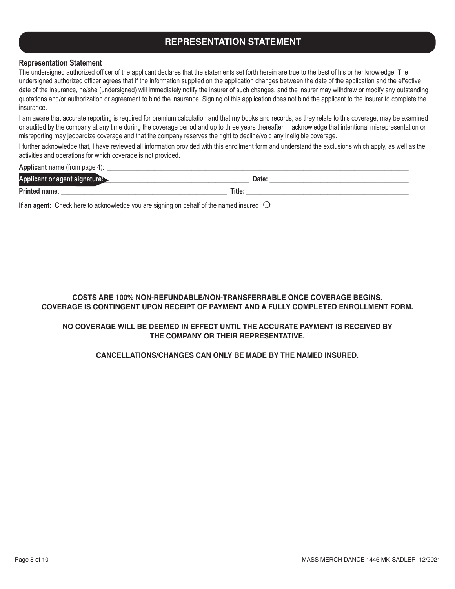## **REPRESENTATION STATEMENT**

#### **Representation Statement**

The undersigned authorized officer of the applicant declares that the statements set forth herein are true to the best of his or her knowledge. The undersigned authorized officer agrees that if the information supplied on the application changes between the date of the application and the effective date of the insurance, he/she (undersigned) will immediately notify the insurer of such changes, and the insurer may withdraw or modify any outstanding quotations and/or authorization or agreement to bind the insurance. Signing of this application does not bind the applicant to the insurer to complete the insurance.

I am aware that accurate reporting is required for premium calculation and that my books and records, as they relate to this coverage, may be examined or audited by the company at any time during the coverage period and up to three years thereafter. I acknowledge that intentional misrepresentation or misreporting may jeopardize coverage and that the company reserves the right to decline/void any ineligible coverage.

I further acknowledge that, I have reviewed all information provided with this enrollment form and understand the exclusions which apply, as well as the activities and operations for which coverage is not provided.

#### **Applicant name** (from page 4):

| Applicant or agent signature: |        | Date:                    |
|-------------------------------|--------|--------------------------|
| Printed name:                 | Title: |                          |
| .<br>$-$<br>.                 | . .    | $\overline{\phantom{a}}$ |

**If an agent:** Check here to acknowledge you are signing on behalf of the named insured  $\bigcirc$ 

#### **COSTS ARE 100% NON-REFUNDABLE/NON-TRANSFERRABLE ONCE COVERAGE BEGINS. COVERAGE IS CONTINGENT UPON RECEIPT OF PAYMENT AND A FULLY COMPLETED ENROLLMENT FORM.**

#### **NO COVERAGE WILL BE DEEMED IN EFFECT UNTIL THE ACCURATE PAYMENT IS RECEIVED BY THE COMPANY OR THEIR REPRESENTATIVE.**

#### **CANCELLATIONS/CHANGES CAN ONLY BE MADE BY THE NAMED INSURED.**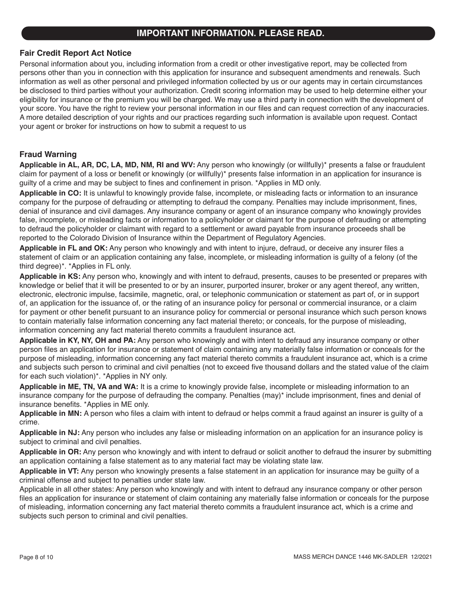## **IMPORTANT INFORMATION. PLEASE READ.**

#### **Fair Credit Report Act Notice**

Personal information about you, including information from a credit or other investigative report, may be collected from persons other than you in connection with this application for insurance and subsequent amendments and renewals. Such information as well as other personal and privileged information collected by us or our agents may in certain circumstances be disclosed to third parties without your authorization. Credit scoring information may be used to help determine either your eligibility for insurance or the premium you will be charged. We may use a third party in connection with the development of your score. You have the right to review your personal information in our files and can request correction of any inaccuracies. A more detailed description of your rights and our practices regarding such information is available upon request. Contact your agent or broker for instructions on how to submit a request to us

#### **Fraud Warning**

**Applicable in AL, AR, DC, LA, MD, NM, RI and WV:** Any person who knowingly (or willfully)\* presents a false or fraudulent claim for payment of a loss or benefit or knowingly (or willfully)\* presents false information in an application for insurance is guilty of a crime and may be subject to fines and confinement in prison. \*Applies in MD only.

**Applicable in CO:** It is unlawful to knowingly provide false, incomplete, or misleading facts or information to an insurance company for the purpose of defrauding or attempting to defraud the company. Penalties may include imprisonment, fines, denial of insurance and civil damages. Any insurance company or agent of an insurance company who knowingly provides false, incomplete, or misleading facts or information to a policyholder or claimant for the purpose of defrauding or attempting to defraud the policyholder or claimant with regard to a settlement or award payable from insurance proceeds shall be reported to the Colorado Division of Insurance within the Department of Regulatory Agencies.

**Applicable in FL and OK:** Any person who knowingly and with intent to injure, defraud, or deceive any insurer files a statement of claim or an application containing any false, incomplete, or misleading information is guilty of a felony (of the third degree)\*. \*Applies in FL only.

**Applicable in KS:** Any person who, knowingly and with intent to defraud, presents, causes to be presented or prepares with knowledge or belief that it will be presented to or by an insurer, purported insurer, broker or any agent thereof, any written, electronic, electronic impulse, facsimile, magnetic, oral, or telephonic communication or statement as part of, or in support of, an application for the issuance of, or the rating of an insurance policy for personal or commercial insurance, or a claim for payment or other benefit pursuant to an insurance policy for commercial or personal insurance which such person knows to contain materially false information concerning any fact material thereto; or conceals, for the purpose of misleading, information concerning any fact material thereto commits a fraudulent insurance act.

**Applicable in KY, NY, OH and PA:** Any person who knowingly and with intent to defraud any insurance company or other person files an application for insurance or statement of claim containing any materially false information or conceals for the purpose of misleading, information concerning any fact material thereto commits a fraudulent insurance act, which is a crime and subjects such person to criminal and civil penalties (not to exceed five thousand dollars and the stated value of the claim for each such violation)\*. \*Applies in NY only.

**Applicable in ME, TN, VA and WA:** It is a crime to knowingly provide false, incomplete or misleading information to an insurance company for the purpose of defrauding the company. Penalties (may)\* include imprisonment, fines and denial of insurance benefits. \*Applies in ME only.

**Applicable in MN:** A person who files a claim with intent to defraud or helps commit a fraud against an insurer is guilty of a crime.

**Applicable in NJ:** Any person who includes any false or misleading information on an application for an insurance policy is subject to criminal and civil penalties.

**Applicable in OR:** Any person who knowingly and with intent to defraud or solicit another to defraud the insurer by submitting an application containing a false statement as to any material fact may be violating state law.

**Applicable in VT:** Any person who knowingly presents a false statement in an application for insurance may be guilty of a criminal offense and subject to penalties under state law.

Applicable in all other states: Any person who knowingly and with intent to defraud any insurance company or other person files an application for insurance or statement of claim containing any materially false information or conceals for the purpose of misleading, information concerning any fact material thereto commits a fraudulent insurance act, which is a crime and subjects such person to criminal and civil penalties.